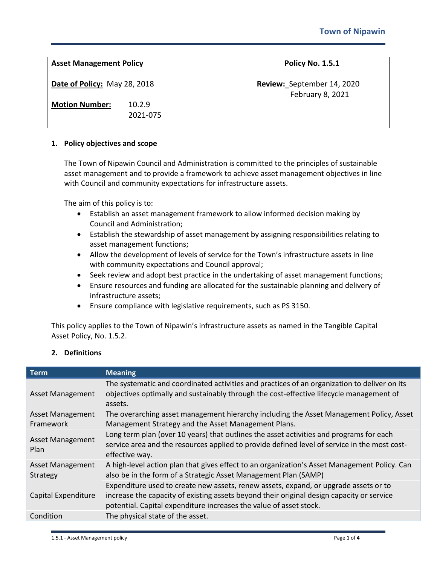| <b>Asset Management Policy</b>                        |                    | <b>Policy No. 1.5.1</b>                        |
|-------------------------------------------------------|--------------------|------------------------------------------------|
| Date of Policy: May 28, 2018<br><b>Motion Number:</b> | 10.2.9<br>2021-075 | Review: September 14, 2020<br>February 8, 2021 |
|                                                       |                    |                                                |

#### **1. Policy objectives and scope**

The Town of Nipawin Council and Administration is committed to the principles of sustainable asset management and to provide a framework to achieve asset management objectives in line with Council and community expectations for infrastructure assets.

The aim of this policy is to:

- Establish an asset management framework to allow informed decision making by Council and Administration;
- Establish the stewardship of asset management by assigning responsibilities relating to asset management functions;
- Allow the development of levels of service for the Town's infrastructure assets in line with community expectations and Council approval;
- Seek review and adopt best practice in the undertaking of asset management functions;
- Ensure resources and funding are allocated for the sustainable planning and delivery of infrastructure assets;
- Ensure compliance with legislative requirements, such as PS 3150.

This policy applies to the Town of Nipawin's infrastructure assets as named in the Tangible Capital Asset Policy, No. 1.5.2.

# **2. Definitions**

| <b>Term</b>                          | <b>Meaning</b>                                                                                                                                                                                                                                          |
|--------------------------------------|---------------------------------------------------------------------------------------------------------------------------------------------------------------------------------------------------------------------------------------------------------|
| <b>Asset Management</b>              | The systematic and coordinated activities and practices of an organization to deliver on its<br>objectives optimally and sustainably through the cost-effective lifecycle management of<br>assets.                                                      |
| <b>Asset Management</b><br>Framework | The overarching asset management hierarchy including the Asset Management Policy, Asset<br>Management Strategy and the Asset Management Plans.                                                                                                          |
| <b>Asset Management</b><br>Plan      | Long term plan (over 10 years) that outlines the asset activities and programs for each<br>service area and the resources applied to provide defined level of service in the most cost-<br>effective way.                                               |
| <b>Asset Management</b><br>Strategy  | A high-level action plan that gives effect to an organization's Asset Management Policy. Can<br>also be in the form of a Strategic Asset Management Plan (SAMP)                                                                                         |
| Capital Expenditure                  | Expenditure used to create new assets, renew assets, expand, or upgrade assets or to<br>increase the capacity of existing assets beyond their original design capacity or service<br>potential. Capital expenditure increases the value of asset stock. |
| Condition                            | The physical state of the asset.                                                                                                                                                                                                                        |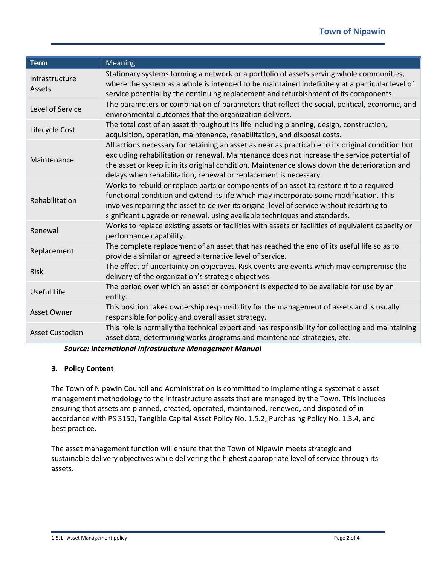| <b>Term</b>              | <b>Meaning</b>                                                                                                                                                                                                                                                                                                                                                       |
|--------------------------|----------------------------------------------------------------------------------------------------------------------------------------------------------------------------------------------------------------------------------------------------------------------------------------------------------------------------------------------------------------------|
| Infrastructure<br>Assets | Stationary systems forming a network or a portfolio of assets serving whole communities,<br>where the system as a whole is intended to be maintained indefinitely at a particular level of<br>service potential by the continuing replacement and refurbishment of its components.                                                                                   |
| Level of Service         | The parameters or combination of parameters that reflect the social, political, economic, and<br>environmental outcomes that the organization delivers.                                                                                                                                                                                                              |
| Lifecycle Cost           | The total cost of an asset throughout its life including planning, design, construction,<br>acquisition, operation, maintenance, rehabilitation, and disposal costs.                                                                                                                                                                                                 |
| Maintenance              | All actions necessary for retaining an asset as near as practicable to its original condition but<br>excluding rehabilitation or renewal. Maintenance does not increase the service potential of<br>the asset or keep it in its original condition. Maintenance slows down the deterioration and<br>delays when rehabilitation, renewal or replacement is necessary. |
| Rehabilitation           | Works to rebuild or replace parts or components of an asset to restore it to a required<br>functional condition and extend its life which may incorporate some modification. This<br>involves repairing the asset to deliver its original level of service without resorting to<br>significant upgrade or renewal, using available techniques and standards.         |
| Renewal                  | Works to replace existing assets or facilities with assets or facilities of equivalent capacity or<br>performance capability.                                                                                                                                                                                                                                        |
| Replacement              | The complete replacement of an asset that has reached the end of its useful life so as to<br>provide a similar or agreed alternative level of service.                                                                                                                                                                                                               |
| <b>Risk</b>              | The effect of uncertainty on objectives. Risk events are events which may compromise the<br>delivery of the organization's strategic objectives.                                                                                                                                                                                                                     |
| Useful Life              | The period over which an asset or component is expected to be available for use by an<br>entity.                                                                                                                                                                                                                                                                     |
| <b>Asset Owner</b>       | This position takes ownership responsibility for the management of assets and is usually<br>responsible for policy and overall asset strategy.                                                                                                                                                                                                                       |
| Asset Custodian          | This role is normally the technical expert and has responsibility for collecting and maintaining<br>asset data, determining works programs and maintenance strategies, etc.                                                                                                                                                                                          |

*Source: International Infrastructure Management Manual*

## **3. Policy Content**

The Town of Nipawin Council and Administration is committed to implementing a systematic asset management methodology to the infrastructure assets that are managed by the Town. This includes ensuring that assets are planned, created, operated, maintained, renewed, and disposed of in accordance with PS 3150, Tangible Capital Asset Policy No. 1.5.2, Purchasing Policy No. 1.3.4, and best practice.

The asset management function will ensure that the Town of Nipawin meets strategic and sustainable delivery objectives while delivering the highest appropriate level of service through its assets.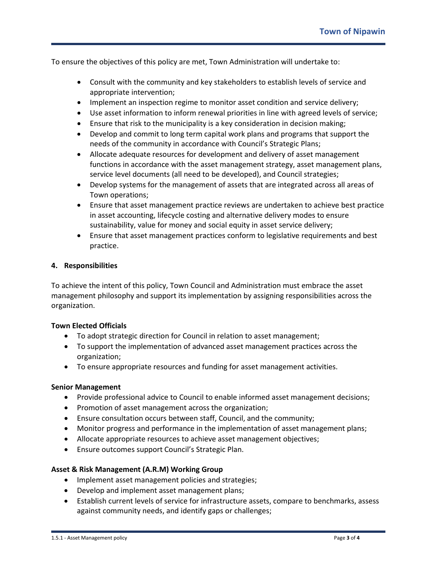To ensure the objectives of this policy are met, Town Administration will undertake to:

- Consult with the community and key stakeholders to establish levels of service and appropriate intervention;
- Implement an inspection regime to monitor asset condition and service delivery;
- Use asset information to inform renewal priorities in line with agreed levels of service;
- Ensure that risk to the municipality is a key consideration in decision making;
- Develop and commit to long term capital work plans and programs that support the needs of the community in accordance with Council's Strategic Plans;
- Allocate adequate resources for development and delivery of asset management functions in accordance with the asset management strategy, asset management plans, service level documents (all need to be developed), and Council strategies;
- Develop systems for the management of assets that are integrated across all areas of Town operations;
- Ensure that asset management practice reviews are undertaken to achieve best practice in asset accounting, lifecycle costing and alternative delivery modes to ensure sustainability, value for money and social equity in asset service delivery;
- Ensure that asset management practices conform to legislative requirements and best practice.

### **4. Responsibilities**

To achieve the intent of this policy, Town Council and Administration must embrace the asset management philosophy and support its implementation by assigning responsibilities across the organization.

## **Town Elected Officials**

- To adopt strategic direction for Council in relation to asset management;
- To support the implementation of advanced asset management practices across the organization;
- To ensure appropriate resources and funding for asset management activities.

#### **Senior Management**

- Provide professional advice to Council to enable informed asset management decisions;
- Promotion of asset management across the organization;
- Ensure consultation occurs between staff, Council, and the community;
- Monitor progress and performance in the implementation of asset management plans;
- Allocate appropriate resources to achieve asset management objectives;
- Ensure outcomes support Council's Strategic Plan.

#### **Asset & Risk Management (A.R.M) Working Group**

- Implement asset management policies and strategies;
- Develop and implement asset management plans;
- Establish current levels of service for infrastructure assets, compare to benchmarks, assess against community needs, and identify gaps or challenges;